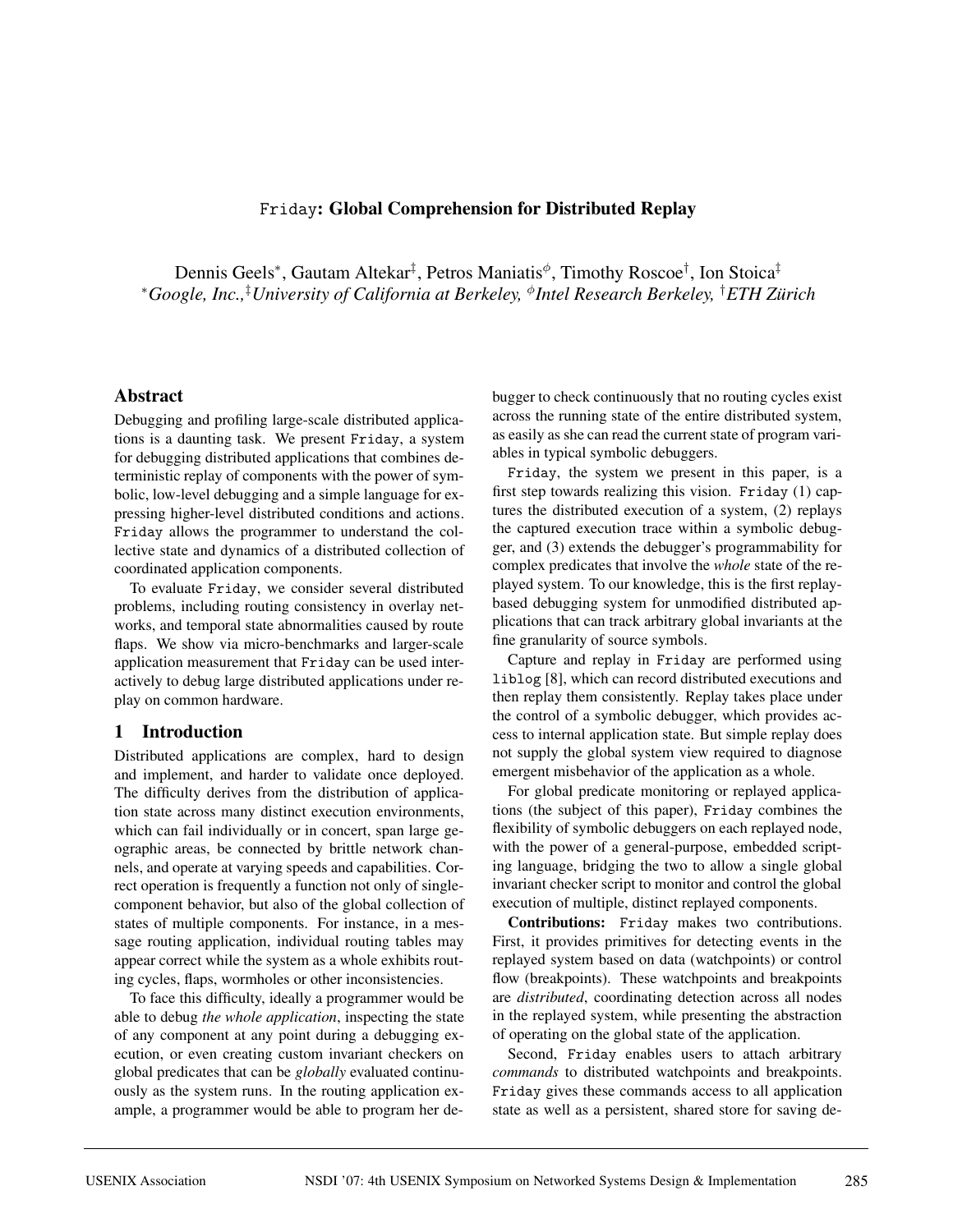## Friday**: Global Comprehension for Distributed Replay**

Dennis Geels<sup>\*</sup>, Gautam Altekar<sup>‡</sup>, Petros Maniatis<sup>¢</sup>, Timothy Roscoe<sup>†</sup>, Ion Stoica<sup>‡</sup> <sup>∗</sup>*Google, Inc.,*‡ *University of California at Berkeley,* <sup>φ</sup>*Intel Research Berkeley,* † *ETH Zurich ¨*

### **Abstract**

Debugging and profiling large-scale distributed applications is a daunting task. We present Friday, a system for debugging distributed applications that combines deterministic replay of components with the power of symbolic, low-level debugging and a simple language for expressing higher-level distributed conditions and actions. Friday allows the programmer to understand the collective state and dynamics of a distributed collection of coordinated application components.

To evaluate Friday, we consider several distributed problems, including routing consistency in overlay networks, and temporal state abnormalities caused by route flaps. We show via micro-benchmarks and larger-scale application measurement that Friday can be used interactively to debug large distributed applications under replay on common hardware.

## **1 Introduction**

Distributed applications are complex, hard to design and implement, and harder to validate once deployed. The difficulty derives from the distribution of application state across many distinct execution environments, which can fail individually or in concert, span large geographic areas, be connected by brittle network channels, and operate at varying speeds and capabilities. Correct operation is frequently a function not only of singlecomponent behavior, but also of the global collection of states of multiple components. For instance, in a message routing application, individual routing tables may appear correct while the system as a whole exhibits routing cycles, flaps, wormholes or other inconsistencies.

To face this difficulty, ideally a programmer would be able to debug *the whole application*, inspecting the state of any component at any point during a debugging execution, or even creating custom invariant checkers on global predicates that can be *globally* evaluated continuously as the system runs. In the routing application example, a programmer would be able to program her debugger to check continuously that no routing cycles exist across the running state of the entire distributed system, as easily as she can read the current state of program variables in typical symbolic debuggers.

Friday, the system we present in this paper, is a first step towards realizing this vision. Friday (1) captures the distributed execution of a system, (2) replays the captured execution trace within a symbolic debugger, and (3) extends the debugger's programmability for complex predicates that involve the *whole* state of the replayed system. To our knowledge, this is the first replaybased debugging system for unmodified distributed applications that can track arbitrary global invariants at the fine granularity of source symbols.

Capture and replay in Friday are performed using liblog [8], which can record distributed executions and then replay them consistently. Replay takes place under the control of a symbolic debugger, which provides access to internal application state. But simple replay does not supply the global system view required to diagnose emergent misbehavior of the application as a whole.

For global predicate monitoring or replayed applications (the subject of this paper), Friday combines the flexibility of symbolic debuggers on each replayed node, with the power of a general-purpose, embedded scripting language, bridging the two to allow a single global invariant checker script to monitor and control the global execution of multiple, distinct replayed components.

**Contributions:** Friday makes two contributions. First, it provides primitives for detecting events in the replayed system based on data (watchpoints) or control flow (breakpoints). These watchpoints and breakpoints are *distributed*, coordinating detection across all nodes in the replayed system, while presenting the abstraction of operating on the global state of the application.

Second, Friday enables users to attach arbitrary *commands* to distributed watchpoints and breakpoints. Friday gives these commands access to all application state as well as a persistent, shared store for saving de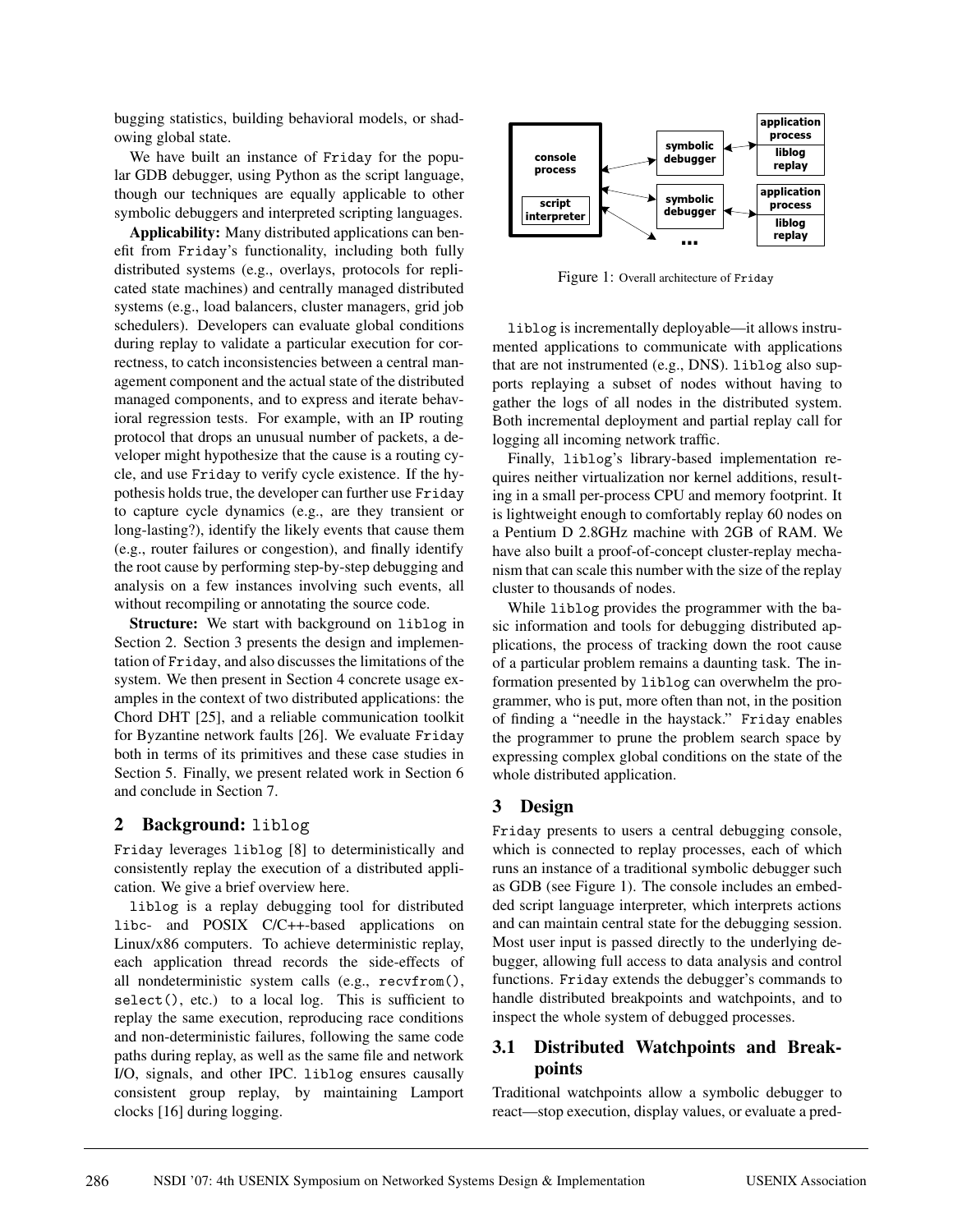bugging statistics, building behavioral models, or shadowing global state.

We have built an instance of Friday for the popular GDB debugger, using Python as the script language, though our techniques are equally applicable to other symbolic debuggers and interpreted scripting languages.

**Applicability:** Many distributed applications can benefit from Friday's functionality, including both fully distributed systems (e.g., overlays, protocols for replicated state machines) and centrally managed distributed systems (e.g., load balancers, cluster managers, grid job schedulers). Developers can evaluate global conditions during replay to validate a particular execution for correctness, to catch inconsistencies between a central management component and the actual state of the distributed managed components, and to express and iterate behavioral regression tests. For example, with an IP routing protocol that drops an unusual number of packets, a developer might hypothesize that the cause is a routing cycle, and use Friday to verify cycle existence. If the hypothesis holds true, the developer can further use Friday to capture cycle dynamics (e.g., are they transient or long-lasting?), identify the likely events that cause them (e.g., router failures or congestion), and finally identify the root cause by performing step-by-step debugging and analysis on a few instances involving such events, all without recompiling or annotating the source code.

**Structure:** We start with background on liblog in Section 2. Section 3 presents the design and implementation of Friday, and also discusses the limitations of the system. We then present in Section 4 concrete usage examples in the context of two distributed applications: the Chord DHT [25], and a reliable communication toolkit for Byzantine network faults [26]. We evaluate Friday both in terms of its primitives and these case studies in Section 5. Finally, we present related work in Section 6 and conclude in Section 7.

### **2 Background:** liblog

Friday leverages liblog [8] to deterministically and consistently replay the execution of a distributed application. We give a brief overview here.

liblog is a replay debugging tool for distributed libc- and POSIX C/C++-based applications on Linux/x86 computers. To achieve deterministic replay, each application thread records the side-effects of all nondeterministic system calls (e.g., recvfrom(), select(), etc.) to a local log. This is sufficient to replay the same execution, reproducing race conditions and non-deterministic failures, following the same code paths during replay, as well as the same file and network I/O, signals, and other IPC. liblog ensures causally consistent group replay, by maintaining Lamport clocks [16] during logging.



Figure 1: Overall architecture of Friday

liblog is incrementally deployable—it allows instrumented applications to communicate with applications that are not instrumented (e.g., DNS). liblog also supports replaying a subset of nodes without having to gather the logs of all nodes in the distributed system. Both incremental deployment and partial replay call for logging all incoming network traffic.

Finally, liblog's library-based implementation requires neither virtualization nor kernel additions, resulting in a small per-process CPU and memory footprint. It is lightweight enough to comfortably replay 60 nodes on a Pentium D 2.8GHz machine with 2GB of RAM. We have also built a proof-of-concept cluster-replay mechanism that can scale this number with the size of the replay cluster to thousands of nodes.

While liblog provides the programmer with the basic information and tools for debugging distributed applications, the process of tracking down the root cause of a particular problem remains a daunting task. The information presented by liblog can overwhelm the programmer, who is put, more often than not, in the position of finding a "needle in the haystack." Friday enables the programmer to prune the problem search space by expressing complex global conditions on the state of the whole distributed application.

# **3 Design**

Friday presents to users a central debugging console, which is connected to replay processes, each of which runs an instance of a traditional symbolic debugger such as GDB (see Figure 1). The console includes an embedded script language interpreter, which interprets actions and can maintain central state for the debugging session. Most user input is passed directly to the underlying debugger, allowing full access to data analysis and control functions. Friday extends the debugger's commands to handle distributed breakpoints and watchpoints, and to inspect the whole system of debugged processes.

## **3.1 Distributed Watchpoints and Breakpoints**

Traditional watchpoints allow a symbolic debugger to react—stop execution, display values, or evaluate a pred-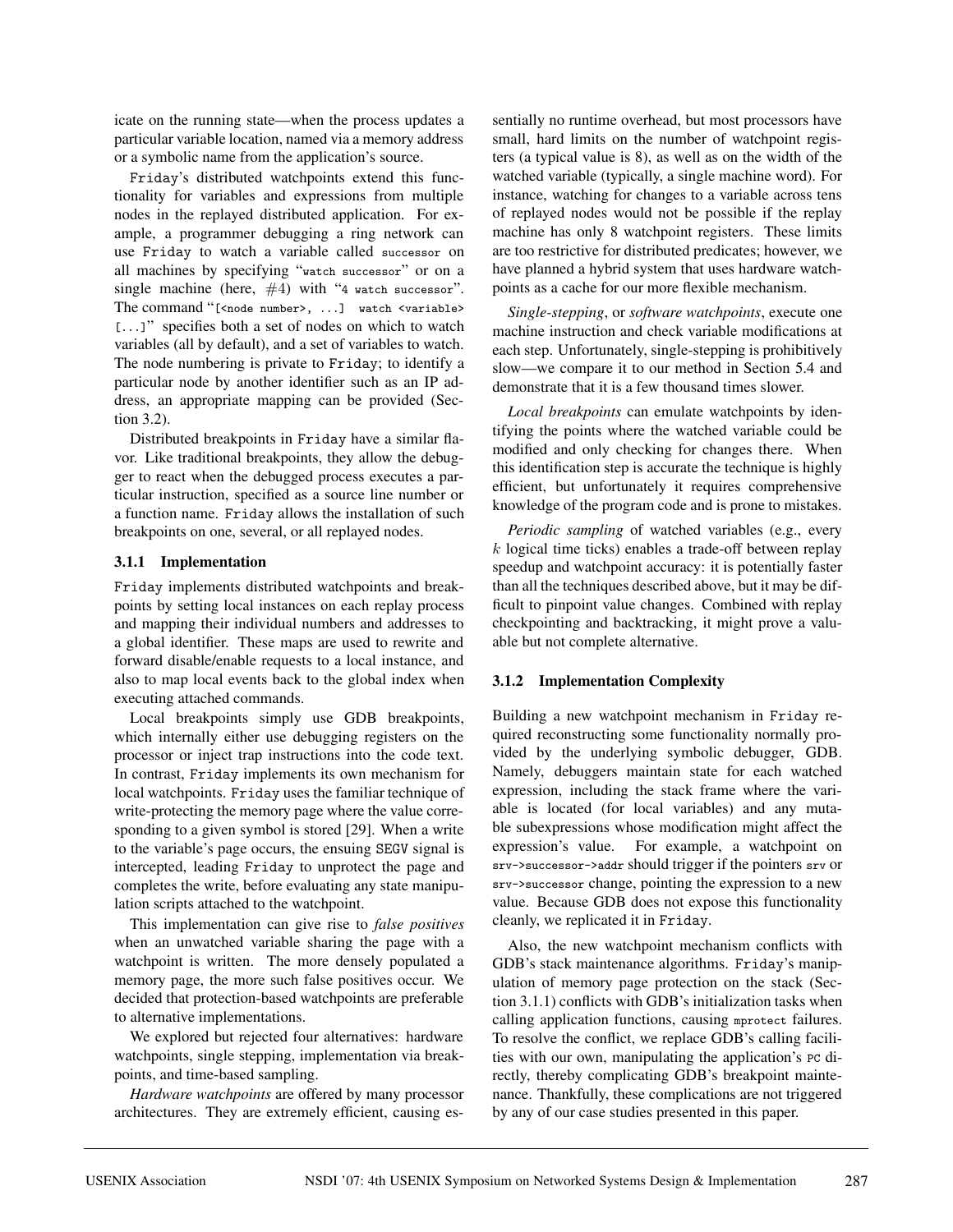icate on the running state—when the process updates a particular variable location, named via a memory address or a symbolic name from the application's source.

Friday's distributed watchpoints extend this functionality for variables and expressions from multiple nodes in the replayed distributed application. For example, a programmer debugging a ring network can use Friday to watch a variable called successor on all machines by specifying "watch successor" or on a single machine (here,  $#4$ ) with "4 watch successor". The command "[<node number>, ...] watch <variable> [...]" specifies both a set of nodes on which to watch variables (all by default), and a set of variables to watch. The node numbering is private to Friday; to identify a particular node by another identifier such as an IP address, an appropriate mapping can be provided (Section 3.2).

Distributed breakpoints in Friday have a similar flavor. Like traditional breakpoints, they allow the debugger to react when the debugged process executes a particular instruction, specified as a source line number or a function name. Friday allows the installation of such breakpoints on one, several, or all replayed nodes.

### **3.1.1 Implementation**

Friday implements distributed watchpoints and breakpoints by setting local instances on each replay process and mapping their individual numbers and addresses to a global identifier. These maps are used to rewrite and forward disable/enable requests to a local instance, and also to map local events back to the global index when executing attached commands.

Local breakpoints simply use GDB breakpoints, which internally either use debugging registers on the processor or inject trap instructions into the code text. In contrast, Friday implements its own mechanism for local watchpoints. Friday uses the familiar technique of write-protecting the memory page where the value corresponding to a given symbol is stored [29]. When a write to the variable's page occurs, the ensuing SEGV signal is intercepted, leading Friday to unprotect the page and completes the write, before evaluating any state manipulation scripts attached to the watchpoint.

This implementation can give rise to *false positives* when an unwatched variable sharing the page with a watchpoint is written. The more densely populated a memory page, the more such false positives occur. We decided that protection-based watchpoints are preferable to alternative implementations.

We explored but rejected four alternatives: hardware watchpoints, single stepping, implementation via breakpoints, and time-based sampling.

*Hardware watchpoints* are offered by many processor architectures. They are extremely efficient, causing essentially no runtime overhead, but most processors have small, hard limits on the number of watchpoint registers (a typical value is 8), as well as on the width of the watched variable (typically, a single machine word). For instance, watching for changes to a variable across tens of replayed nodes would not be possible if the replay machine has only 8 watchpoint registers. These limits are too restrictive for distributed predicates; however, we have planned a hybrid system that uses hardware watchpoints as a cache for our more flexible mechanism.

*Single-stepping*, or *software watchpoints*, execute one machine instruction and check variable modifications at each step. Unfortunately, single-stepping is prohibitively slow—we compare it to our method in Section 5.4 and demonstrate that it is a few thousand times slower.

*Local breakpoints* can emulate watchpoints by identifying the points where the watched variable could be modified and only checking for changes there. When this identification step is accurate the technique is highly efficient, but unfortunately it requires comprehensive knowledge of the program code and is prone to mistakes.

*Periodic sampling* of watched variables (e.g., every k logical time ticks) enables a trade-off between replay speedup and watchpoint accuracy: it is potentially faster than all the techniques described above, but it may be difficult to pinpoint value changes. Combined with replay checkpointing and backtracking, it might prove a valuable but not complete alternative.

## **3.1.2 Implementation Complexity**

Building a new watchpoint mechanism in Friday required reconstructing some functionality normally provided by the underlying symbolic debugger, GDB. Namely, debuggers maintain state for each watched expression, including the stack frame where the variable is located (for local variables) and any mutable subexpressions whose modification might affect the expression's value. For example, a watchpoint on srv->successor->addr should trigger if the pointers srv or srv->successor change, pointing the expression to a new value. Because GDB does not expose this functionality cleanly, we replicated it in Friday.

Also, the new watchpoint mechanism conflicts with GDB's stack maintenance algorithms. Friday's manipulation of memory page protection on the stack (Section 3.1.1) conflicts with GDB's initialization tasks when calling application functions, causing mprotect failures. To resolve the conflict, we replace GDB's calling facilities with our own, manipulating the application's PC directly, thereby complicating GDB's breakpoint maintenance. Thankfully, these complications are not triggered by any of our case studies presented in this paper.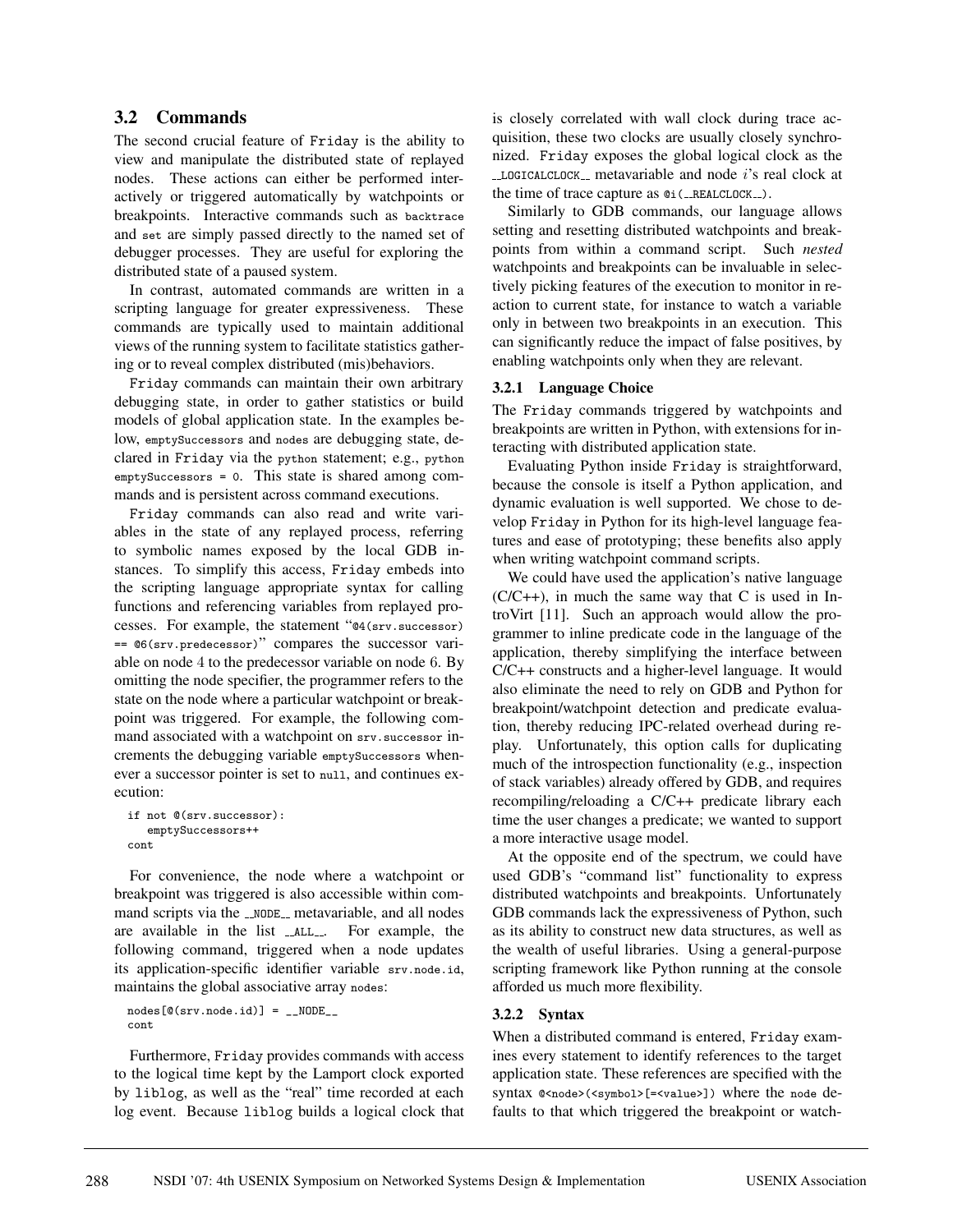## **3.2 Commands**

The second crucial feature of Friday is the ability to view and manipulate the distributed state of replayed nodes. These actions can either be performed interactively or triggered automatically by watchpoints or breakpoints. Interactive commands such as backtrace and set are simply passed directly to the named set of debugger processes. They are useful for exploring the distributed state of a paused system.

In contrast, automated commands are written in a scripting language for greater expressiveness. These commands are typically used to maintain additional views of the running system to facilitate statistics gathering or to reveal complex distributed (mis)behaviors.

Friday commands can maintain their own arbitrary debugging state, in order to gather statistics or build models of global application state. In the examples below, emptySuccessors and nodes are debugging state, declared in Friday via the python statement; e.g., python emptySuccessors = 0. This state is shared among commands and is persistent across command executions.

Friday commands can also read and write variables in the state of any replayed process, referring to symbolic names exposed by the local GDB instances. To simplify this access, Friday embeds into the scripting language appropriate syntax for calling functions and referencing variables from replayed processes. For example, the statement "@4(srv.successor) == @6(srv.predecessor)" compares the successor variable on node 4 to the predecessor variable on node 6. By omitting the node specifier, the programmer refers to the state on the node where a particular watchpoint or breakpoint was triggered. For example, the following command associated with a watchpoint on srv.successor increments the debugging variable emptySuccessors whenever a successor pointer is set to null, and continues execution:

```
if not @(srv.successor):
  emptySuccessors++
cont
```
For convenience, the node where a watchpoint or breakpoint was triggered is also accessible within command scripts via the \_NODE\_ metavariable, and all nodes are available in the list \_\_ALL\_\_. For example, the following command, triggered when a node updates its application-specific identifier variable srv.node.id, maintains the global associative array nodes:

```
nodes[@(srv.node.id)] = _1NODE_cont
```
Furthermore, Friday provides commands with access to the logical time kept by the Lamport clock exported by liblog, as well as the "real" time recorded at each log event. Because liblog builds a logical clock that is closely correlated with wall clock during trace acquisition, these two clocks are usually closely synchronized. Friday exposes the global logical clock as the  $\text{\textendash}$   $\text{\textendash}$  metavariable and node i's real clock at the time of trace capture as  $\mathfrak{e}_i$  (\_REALCLOCK $_{-}$ ).

Similarly to GDB commands, our language allows setting and resetting distributed watchpoints and breakpoints from within a command script. Such *nested* watchpoints and breakpoints can be invaluable in selectively picking features of the execution to monitor in reaction to current state, for instance to watch a variable only in between two breakpoints in an execution. This can significantly reduce the impact of false positives, by enabling watchpoints only when they are relevant.

### **3.2.1 Language Choice**

The Friday commands triggered by watchpoints and breakpoints are written in Python, with extensions for interacting with distributed application state.

Evaluating Python inside Friday is straightforward, because the console is itself a Python application, and dynamic evaluation is well supported. We chose to develop Friday in Python for its high-level language features and ease of prototyping; these benefits also apply when writing watchpoint command scripts.

We could have used the application's native language  $(C/C++)$ , in much the same way that C is used in IntroVirt [11]. Such an approach would allow the programmer to inline predicate code in the language of the application, thereby simplifying the interface between C/C++ constructs and a higher-level language. It would also eliminate the need to rely on GDB and Python for breakpoint/watchpoint detection and predicate evaluation, thereby reducing IPC-related overhead during replay. Unfortunately, this option calls for duplicating much of the introspection functionality (e.g., inspection of stack variables) already offered by GDB, and requires recompiling/reloading a C/C++ predicate library each time the user changes a predicate; we wanted to support a more interactive usage model.

At the opposite end of the spectrum, we could have used GDB's "command list" functionality to express distributed watchpoints and breakpoints. Unfortunately GDB commands lack the expressiveness of Python, such as its ability to construct new data structures, as well as the wealth of useful libraries. Using a general-purpose scripting framework like Python running at the console afforded us much more flexibility.

### **3.2.2 Syntax**

When a distributed command is entered, Friday examines every statement to identify references to the target application state. These references are specified with the syntax @<node>(<symbol>[=<value>]) where the node defaults to that which triggered the breakpoint or watch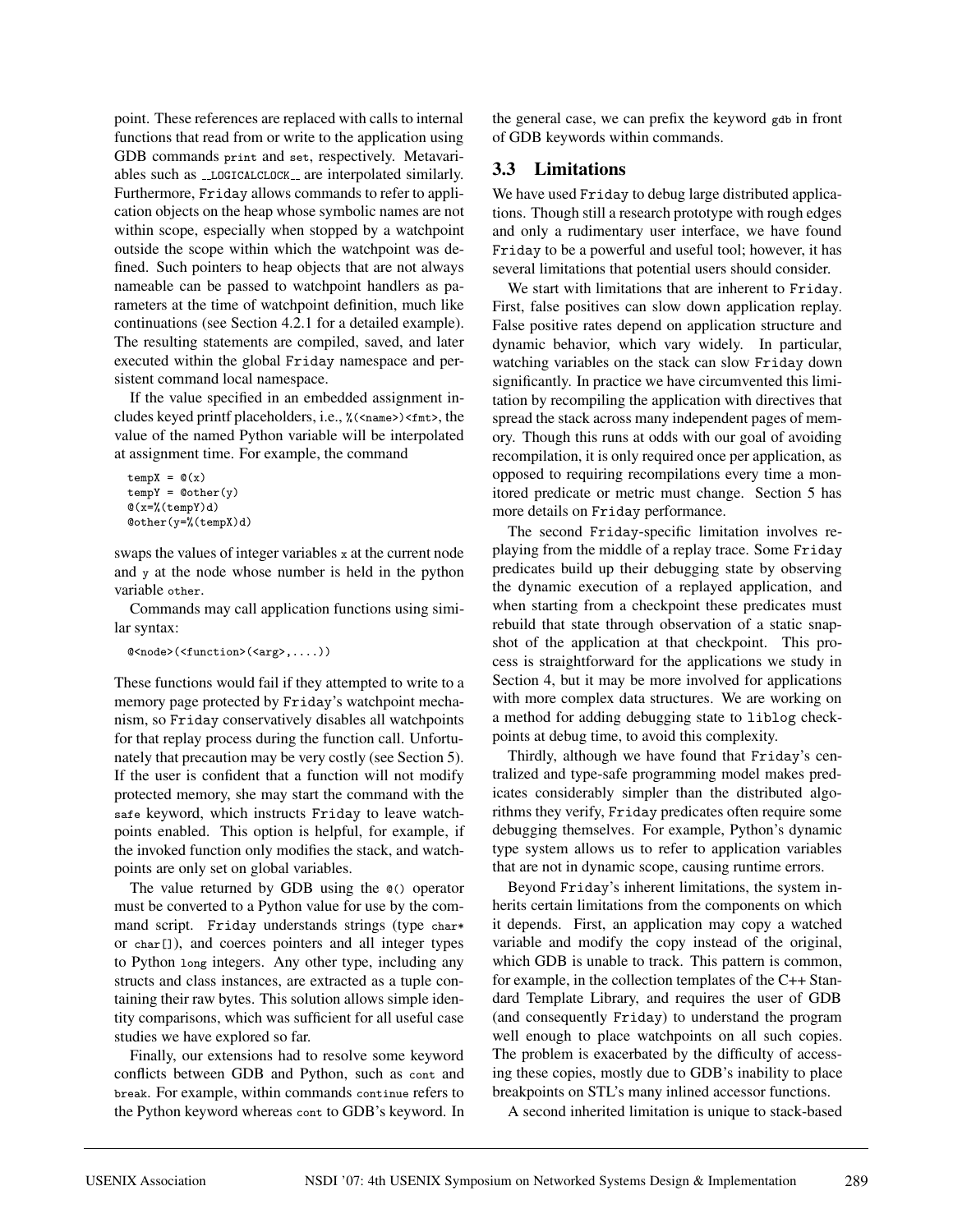point. These references are replaced with calls to internal functions that read from or write to the application using GDB commands print and set, respectively. Metavariables such as \_LOGICALCLOCK\_ are interpolated similarly. Furthermore, Friday allows commands to refer to application objects on the heap whose symbolic names are not within scope, especially when stopped by a watchpoint outside the scope within which the watchpoint was defined. Such pointers to heap objects that are not always nameable can be passed to watchpoint handlers as parameters at the time of watchpoint definition, much like continuations (see Section 4.2.1 for a detailed example). The resulting statements are compiled, saved, and later executed within the global Friday namespace and persistent command local namespace.

If the value specified in an embedded assignment includes keyed printf placeholders, i.e., %(<name>)<fmt>, the value of the named Python variable will be interpolated at assignment time. For example, the command

```
tempX = \mathbb{Q}(x)tempY = @other(y)@(x = %(tempY)d)
@other(y=%(tempX)d)
```
swaps the values of integer variables x at the current node and y at the node whose number is held in the python variable other.

Commands may call application functions using similar syntax:

```
@<node>(<function>(<arg>,....))
```
These functions would fail if they attempted to write to a memory page protected by Friday's watchpoint mechanism, so Friday conservatively disables all watchpoints for that replay process during the function call. Unfortunately that precaution may be very costly (see Section 5). If the user is confident that a function will not modify protected memory, she may start the command with the safe keyword, which instructs Friday to leave watchpoints enabled. This option is helpful, for example, if the invoked function only modifies the stack, and watchpoints are only set on global variables.

The value returned by GDB using the @() operator must be converted to a Python value for use by the command script. Friday understands strings (type char\* or char[]), and coerces pointers and all integer types to Python long integers. Any other type, including any structs and class instances, are extracted as a tuple containing their raw bytes. This solution allows simple identity comparisons, which was sufficient for all useful case studies we have explored so far.

Finally, our extensions had to resolve some keyword conflicts between GDB and Python, such as cont and break. For example, within commands continue refers to the Python keyword whereas cont to GDB's keyword. In the general case, we can prefix the keyword gdb in front of GDB keywords within commands.

# **3.3 Limitations**

We have used Friday to debug large distributed applications. Though still a research prototype with rough edges and only a rudimentary user interface, we have found Friday to be a powerful and useful tool; however, it has several limitations that potential users should consider.

We start with limitations that are inherent to Friday. First, false positives can slow down application replay. False positive rates depend on application structure and dynamic behavior, which vary widely. In particular, watching variables on the stack can slow Friday down significantly. In practice we have circumvented this limitation by recompiling the application with directives that spread the stack across many independent pages of memory. Though this runs at odds with our goal of avoiding recompilation, it is only required once per application, as opposed to requiring recompilations every time a monitored predicate or metric must change. Section 5 has more details on Friday performance.

The second Friday-specific limitation involves replaying from the middle of a replay trace. Some Friday predicates build up their debugging state by observing the dynamic execution of a replayed application, and when starting from a checkpoint these predicates must rebuild that state through observation of a static snapshot of the application at that checkpoint. This process is straightforward for the applications we study in Section 4, but it may be more involved for applications with more complex data structures. We are working on a method for adding debugging state to liblog checkpoints at debug time, to avoid this complexity.

Thirdly, although we have found that Friday's centralized and type-safe programming model makes predicates considerably simpler than the distributed algorithms they verify, Friday predicates often require some debugging themselves. For example, Python's dynamic type system allows us to refer to application variables that are not in dynamic scope, causing runtime errors.

Beyond Friday's inherent limitations, the system inherits certain limitations from the components on which it depends. First, an application may copy a watched variable and modify the copy instead of the original, which GDB is unable to track. This pattern is common, for example, in the collection templates of the C++ Standard Template Library, and requires the user of GDB (and consequently Friday) to understand the program well enough to place watchpoints on all such copies. The problem is exacerbated by the difficulty of accessing these copies, mostly due to GDB's inability to place breakpoints on STL's many inlined accessor functions.

A second inherited limitation is unique to stack-based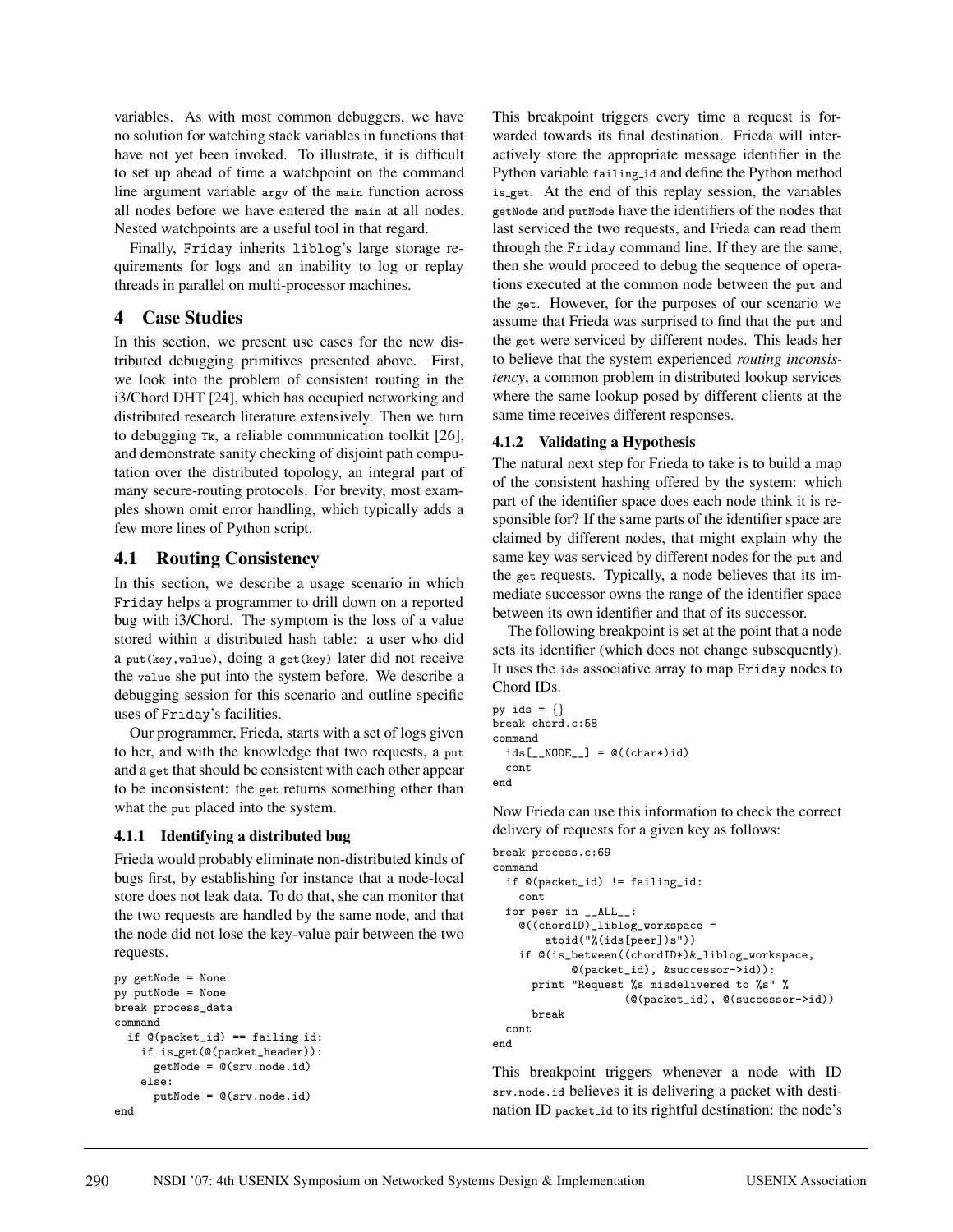variables. As with most common debuggers, we have no solution for watching stack variables in functions that have not yet been invoked. To illustrate, it is difficult to set up ahead of time a watchpoint on the command line argument variable argv of the main function across all nodes before we have entered the main at all nodes. Nested watchpoints are a useful tool in that regard.

Finally, Friday inherits liblog's large storage requirements for logs and an inability to log or replay threads in parallel on multi-processor machines.

# **4 Case Studies**

In this section, we present use cases for the new distributed debugging primitives presented above. First, we look into the problem of consistent routing in the i3/Chord DHT [24], which has occupied networking and distributed research literature extensively. Then we turn to debugging Tk, a reliable communication toolkit [26], and demonstrate sanity checking of disjoint path computation over the distributed topology, an integral part of many secure-routing protocols. For brevity, most examples shown omit error handling, which typically adds a few more lines of Python script.

## **4.1 Routing Consistency**

In this section, we describe a usage scenario in which Friday helps a programmer to drill down on a reported bug with i3/Chord. The symptom is the loss of a value stored within a distributed hash table: a user who did a put(key,value), doing a get(key) later did not receive the value she put into the system before. We describe a debugging session for this scenario and outline specific uses of Friday's facilities.

Our programmer, Frieda, starts with a set of logs given to her, and with the knowledge that two requests, a put and a get that should be consistent with each other appear to be inconsistent: the get returns something other than what the put placed into the system.

## **4.1.1 Identifying a distributed bug**

Frieda would probably eliminate non-distributed kinds of bugs first, by establishing for instance that a node-local store does not leak data. To do that, she can monitor that the two requests are handled by the same node, and that the node did not lose the key-value pair between the two requests.

```
py getNode = None
py putNode = None
break process_data
command
  if @(packet_id) == failing_id:if is get(@(packet_header)):
      getNode = @(srv.node.id)
    else:
      putNode = @(srv.node.id)
end
```
This breakpoint triggers every time a request is forwarded towards its final destination. Frieda will interactively store the appropriate message identifier in the Python variable failing id and define the Python method is get. At the end of this replay session, the variables getNode and putNode have the identifiers of the nodes that last serviced the two requests, and Frieda can read them through the Friday command line. If they are the same, then she would proceed to debug the sequence of operations executed at the common node between the put and the get. However, for the purposes of our scenario we assume that Frieda was surprised to find that the put and the get were serviced by different nodes. This leads her to believe that the system experienced *routing inconsistency*, a common problem in distributed lookup services where the same lookup posed by different clients at the same time receives different responses.

## **4.1.2 Validating a Hypothesis**

The natural next step for Frieda to take is to build a map of the consistent hashing offered by the system: which part of the identifier space does each node think it is responsible for? If the same parts of the identifier space are claimed by different nodes, that might explain why the same key was serviced by different nodes for the put and the get requests. Typically, a node believes that its immediate successor owns the range of the identifier space between its own identifier and that of its successor.

The following breakpoint is set at the point that a node sets its identifier (which does not change subsequently). It uses the ids associative array to map Friday nodes to Chord IDs.

```
py ids = \{\}break chord.c:58
command
  ids[\_NODE] = \mathbb{O}((char*)id)cont
end
```
Now Frieda can use this information to check the correct delivery of requests for a given key as follows:

```
break process.c:69
command
  if @(packet_id) != failing_id:
    cont
  for peer in __ALL__:
    @((chordID)_liblog_workspace =
        atoid("%(ids[peer])s"))
    if @(is_between((chordID*)&_liblog_workspace,
            @(packet_id), &successor->id)):
      print "Request %s misdelivered to %s" %
                    (@(packet_id), @(successor->id))
      break
  cont
end
```
This breakpoint triggers whenever a node with ID srv.node.id believes it is delivering a packet with destination ID packet id to its rightful destination: the node's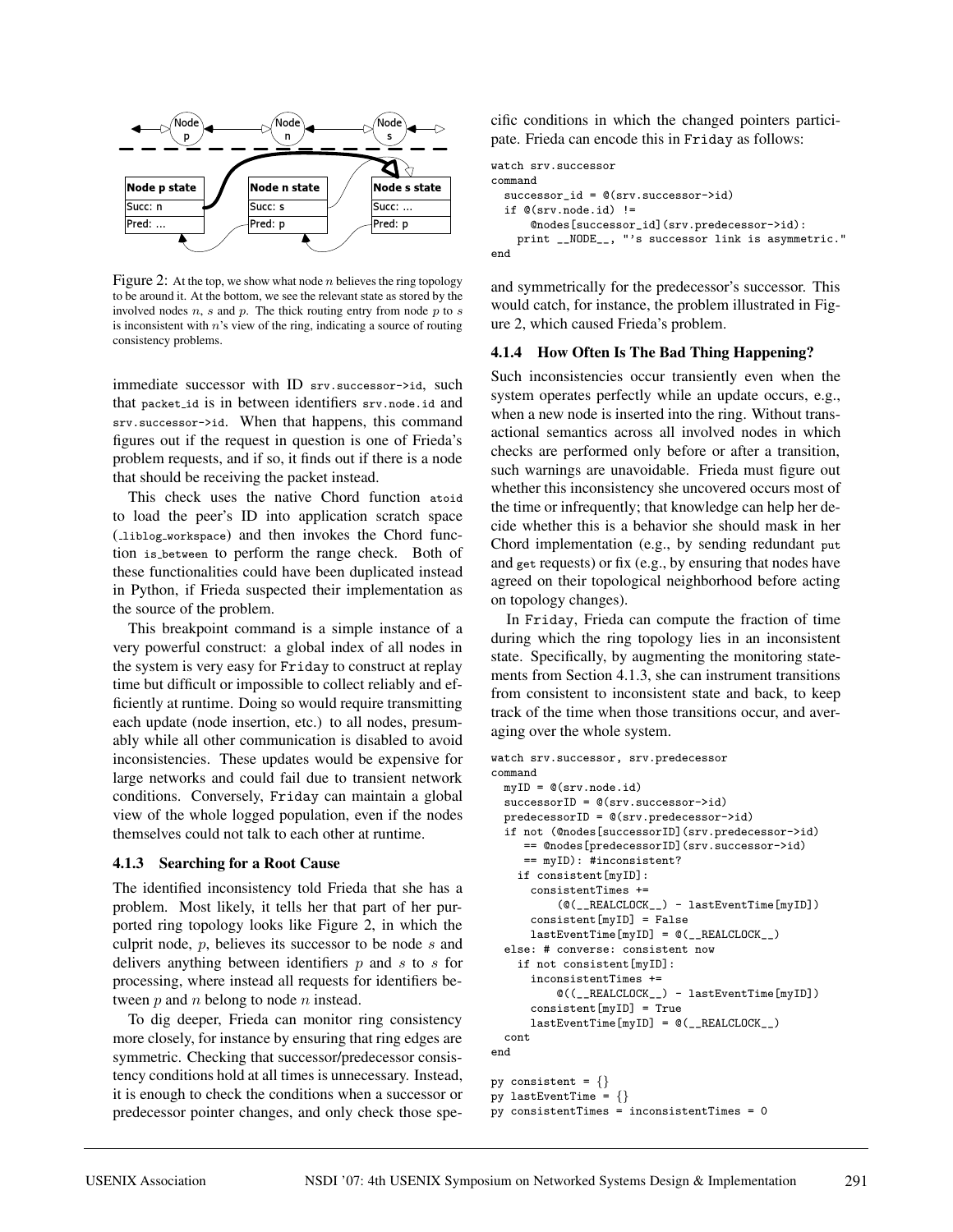

Figure 2: At the top, we show what node  $n$  believes the ring topology to be around it. At the bottom, we see the relevant state as stored by the involved nodes  $n$ ,  $s$  and  $p$ . The thick routing entry from node  $p$  to  $s$ is inconsistent with  $n$ 's view of the ring, indicating a source of routing consistency problems.

immediate successor with ID srv.successor->id, such that packet id is in between identifiers srv.node.id and srv.successor->id. When that happens, this command figures out if the request in question is one of Frieda's problem requests, and if so, it finds out if there is a node that should be receiving the packet instead.

This check uses the native Chord function atoid to load the peer's ID into application scratch space ( liblog workspace) and then invokes the Chord function is between to perform the range check. Both of these functionalities could have been duplicated instead in Python, if Frieda suspected their implementation as the source of the problem.

This breakpoint command is a simple instance of a very powerful construct: a global index of all nodes in the system is very easy for Friday to construct at replay time but difficult or impossible to collect reliably and efficiently at runtime. Doing so would require transmitting each update (node insertion, etc.) to all nodes, presumably while all other communication is disabled to avoid inconsistencies. These updates would be expensive for large networks and could fail due to transient network conditions. Conversely, Friday can maintain a global view of the whole logged population, even if the nodes themselves could not talk to each other at runtime.

#### **4.1.3 Searching for a Root Cause**

The identified inconsistency told Frieda that she has a problem. Most likely, it tells her that part of her purported ring topology looks like Figure 2, in which the culprit node, p, believes its successor to be node s and delivers anything between identifiers  $p$  and  $s$  to  $s$  for processing, where instead all requests for identifiers between  $p$  and  $n$  belong to node  $n$  instead.

To dig deeper, Frieda can monitor ring consistency more closely, for instance by ensuring that ring edges are symmetric. Checking that successor/predecessor consistency conditions hold at all times is unnecessary. Instead, it is enough to check the conditions when a successor or predecessor pointer changes, and only check those specific conditions in which the changed pointers participate. Frieda can encode this in Friday as follows:

```
watch srv.successor
command
  successor_id = @(srv.successor->id)
  if @(srv.node.id) !=
      @nodes[successor_id](srv.predecessor->id):
    print __NODE__, "'s successor link is asymmetric."
end
```
and symmetrically for the predecessor's successor. This would catch, for instance, the problem illustrated in Figure 2, which caused Frieda's problem.

#### **4.1.4 How Often Is The Bad Thing Happening?**

Such inconsistencies occur transiently even when the system operates perfectly while an update occurs, e.g., when a new node is inserted into the ring. Without transactional semantics across all involved nodes in which checks are performed only before or after a transition, such warnings are unavoidable. Frieda must figure out whether this inconsistency she uncovered occurs most of the time or infrequently; that knowledge can help her decide whether this is a behavior she should mask in her Chord implementation (e.g., by sending redundant put and get requests) or fix (e.g., by ensuring that nodes have agreed on their topological neighborhood before acting on topology changes).

In Friday, Frieda can compute the fraction of time during which the ring topology lies in an inconsistent state. Specifically, by augmenting the monitoring statements from Section 4.1.3, she can instrument transitions from consistent to inconsistent state and back, to keep track of the time when those transitions occur, and averaging over the whole system.

#### watch srv.successor, srv.predecessor command

```
myID = @(srv.node.id)
  successorID = @(srv.successor->id)
  predecessorID = @(srv.predecessor->id)
  if not (@nodes[successorID](srv.predecessor->id)
     == @nodes[predecessorID](srv.successor->id)
     == myID): #inconsistent?
    if consistent[myID]:
      consistentTimes +=
          (@(__REALCLOCK__) - lastEventTime[myID])
      consistent[myID] = False
      lastEventTime[myID] = @(__REALCLOCK__)
  else: # converse: consistent now
    if not consistent[myID]:
      inconsistentTimes +=
          @((__REALCLOCK__) - lastEventTime[myID])
      consistent[myID] = True
      lastEventTime[myID] = @(__REALCLOCK__)
  cont
end
py consistent = \{\}py lastEventTime = \{\}
```
py consistentTimes = inconsistentTimes = 0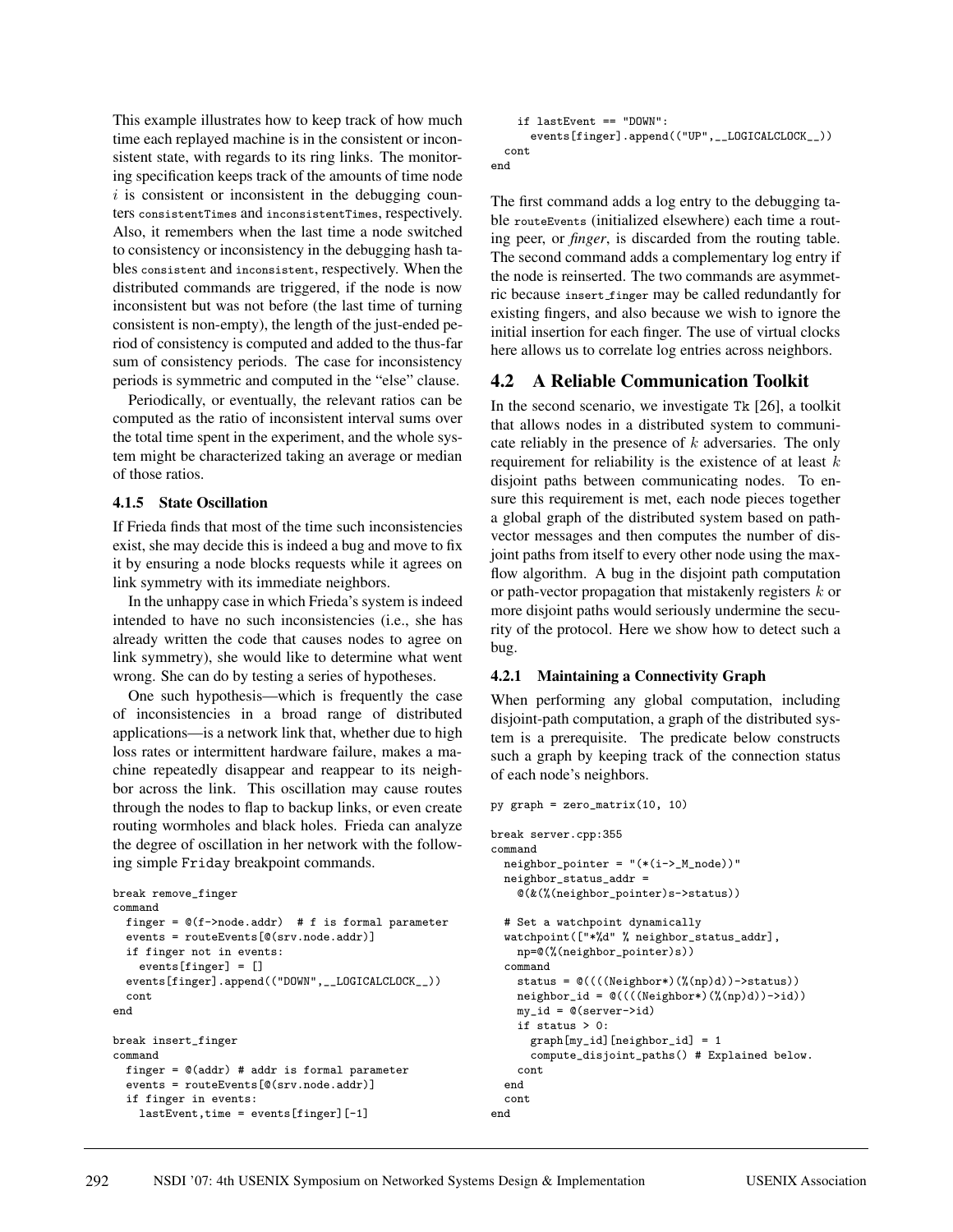This example illustrates how to keep track of how much time each replayed machine is in the consistent or inconsistent state, with regards to its ring links. The monitoring specification keeps track of the amounts of time node  $i$  is consistent or inconsistent in the debugging counters consistentTimes and inconsistentTimes, respectively. Also, it remembers when the last time a node switched to consistency or inconsistency in the debugging hash tables consistent and inconsistent, respectively. When the distributed commands are triggered, if the node is now inconsistent but was not before (the last time of turning consistent is non-empty), the length of the just-ended period of consistency is computed and added to the thus-far sum of consistency periods. The case for inconsistency periods is symmetric and computed in the "else" clause.

Periodically, or eventually, the relevant ratios can be computed as the ratio of inconsistent interval sums over the total time spent in the experiment, and the whole system might be characterized taking an average or median of those ratios.

#### **4.1.5 State Oscillation**

If Frieda finds that most of the time such inconsistencies exist, she may decide this is indeed a bug and move to fix it by ensuring a node blocks requests while it agrees on link symmetry with its immediate neighbors.

In the unhappy case in which Frieda's system is indeed intended to have no such inconsistencies (i.e., she has already written the code that causes nodes to agree on link symmetry), she would like to determine what went wrong. She can do by testing a series of hypotheses.

One such hypothesis—which is frequently the case of inconsistencies in a broad range of distributed applications—is a network link that, whether due to high loss rates or intermittent hardware failure, makes a machine repeatedly disappear and reappear to its neighbor across the link. This oscillation may cause routes through the nodes to flap to backup links, or even create routing wormholes and black holes. Frieda can analyze the degree of oscillation in her network with the following simple Friday breakpoint commands.

```
break remove_finger
command
  finger = @(f\rightarrow node.addr) # f is formal parameter
  events = routeEvents[@(srv.node.addr)]
  if finger not in events:
    events[finger] = []
  events[finger].append(("DOWN",__LOGICALCLOCK__))
  cont
end
break insert_finger
command
  finger = @(addr) # addr is formal parameter
  events = routeEvents[@(srv.node.addr)]
  if finger in events:
    lastEvent,time = events[finger][-1]
```

```
if lastEvent == "DOWN":
      events[finger].append(("UP",__LOGICALCLOCK__))
  cont
end
```
The first command adds a log entry to the debugging table routeEvents (initialized elsewhere) each time a routing peer, or *finger*, is discarded from the routing table. The second command adds a complementary log entry if the node is reinserted. The two commands are asymmetric because insert finger may be called redundantly for existing fingers, and also because we wish to ignore the initial insertion for each finger. The use of virtual clocks here allows us to correlate log entries across neighbors.

## **4.2 A Reliable Communication Toolkit**

In the second scenario, we investigate Tk [26], a toolkit that allows nodes in a distributed system to communicate reliably in the presence of k adversaries. The only requirement for reliability is the existence of at least  $k$ disjoint paths between communicating nodes. To ensure this requirement is met, each node pieces together a global graph of the distributed system based on pathvector messages and then computes the number of disjoint paths from itself to every other node using the maxflow algorithm. A bug in the disjoint path computation or path-vector propagation that mistakenly registers  $k$  or more disjoint paths would seriously undermine the security of the protocol. Here we show how to detect such a bug.

#### **4.2.1 Maintaining a Connectivity Graph**

When performing any global computation, including disjoint-path computation, a graph of the distributed system is a prerequisite. The predicate below constructs such a graph by keeping track of the connection status of each node's neighbors.

```
py graph = zero_matrix(10, 10)
break server.cpp:355
command
  \verb|neighbor-pointer = "(*(i->_M\_node))"neighbor_status_addr =
    @(&(%(neighbor_pointer)s->status))
  # Set a watchpoint dynamically
  watchpoint(["*%d" % neighbor_status_addr],
    np=@(%(neighbor_pointer)s))
  command
    status = @((((Neighbor*)(%(np)d))->status))
    neighbor_id = \mathbb{O}((((Neighbour*)(\mathcal{N}(np)d))-\text{pid}))my_id = @(server->id)
    if status > 0:
      graph[my_id][neighbor_id] = 1
      compute_disjoint_paths() # Explained below.
    cont
  end
  cont
end
```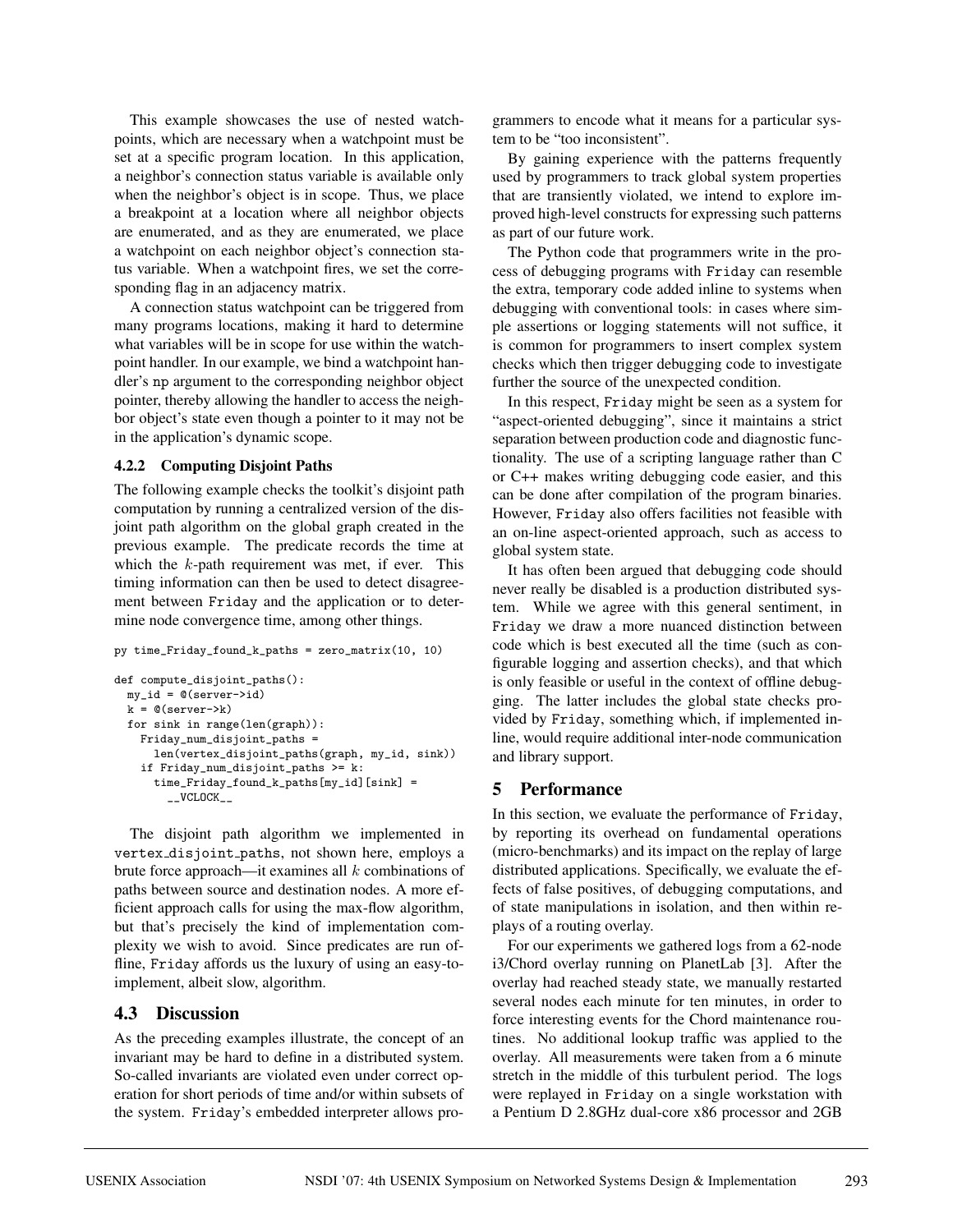This example showcases the use of nested watchpoints, which are necessary when a watchpoint must be set at a specific program location. In this application, a neighbor's connection status variable is available only when the neighbor's object is in scope. Thus, we place a breakpoint at a location where all neighbor objects are enumerated, and as they are enumerated, we place a watchpoint on each neighbor object's connection status variable. When a watchpoint fires, we set the corresponding flag in an adjacency matrix.

A connection status watchpoint can be triggered from many programs locations, making it hard to determine what variables will be in scope for use within the watchpoint handler. In our example, we bind a watchpoint handler's np argument to the corresponding neighbor object pointer, thereby allowing the handler to access the neighbor object's state even though a pointer to it may not be in the application's dynamic scope.

### **4.2.2 Computing Disjoint Paths**

The following example checks the toolkit's disjoint path computation by running a centralized version of the disjoint path algorithm on the global graph created in the previous example. The predicate records the time at which the  $k$ -path requirement was met, if ever. This timing information can then be used to detect disagreement between Friday and the application or to determine node convergence time, among other things.

```
py time_Friday_found_k_paths = zero_matrix(10, 10)
```

```
def compute_disjoint_paths():
 my_id = @(server->id)
  k = \mathbb{Q}(\text{server} \rightarrow k)for sink in range(len(graph)):
    Friday_num_disjoint_paths =
      len(vertex_disjoint_paths(graph, my_id, sink))
    if Friday_num_disjoint_paths >= k:
      time_Friday_found_k_paths[my_id][sink] =
        __VCLOCK__
```
The disjoint path algorithm we implemented in vertex disjoint paths, not shown here, employs a brute force approach—it examines all  $k$  combinations of paths between source and destination nodes. A more efficient approach calls for using the max-flow algorithm, but that's precisely the kind of implementation complexity we wish to avoid. Since predicates are run offline, Friday affords us the luxury of using an easy-toimplement, albeit slow, algorithm.

# **4.3 Discussion**

As the preceding examples illustrate, the concept of an invariant may be hard to define in a distributed system. So-called invariants are violated even under correct operation for short periods of time and/or within subsets of the system. Friday's embedded interpreter allows programmers to encode what it means for a particular system to be "too inconsistent".

By gaining experience with the patterns frequently used by programmers to track global system properties that are transiently violated, we intend to explore improved high-level constructs for expressing such patterns as part of our future work.

The Python code that programmers write in the process of debugging programs with Friday can resemble the extra, temporary code added inline to systems when debugging with conventional tools: in cases where simple assertions or logging statements will not suffice, it is common for programmers to insert complex system checks which then trigger debugging code to investigate further the source of the unexpected condition.

In this respect, Friday might be seen as a system for "aspect-oriented debugging", since it maintains a strict separation between production code and diagnostic functionality. The use of a scripting language rather than C or C++ makes writing debugging code easier, and this can be done after compilation of the program binaries. However, Friday also offers facilities not feasible with an on-line aspect-oriented approach, such as access to global system state.

It has often been argued that debugging code should never really be disabled is a production distributed system. While we agree with this general sentiment, in Friday we draw a more nuanced distinction between code which is best executed all the time (such as configurable logging and assertion checks), and that which is only feasible or useful in the context of offline debugging. The latter includes the global state checks provided by Friday, something which, if implemented inline, would require additional inter-node communication and library support.

# **5 Performance**

In this section, we evaluate the performance of Friday, by reporting its overhead on fundamental operations (micro-benchmarks) and its impact on the replay of large distributed applications. Specifically, we evaluate the effects of false positives, of debugging computations, and of state manipulations in isolation, and then within replays of a routing overlay.

For our experiments we gathered logs from a 62-node i3/Chord overlay running on PlanetLab [3]. After the overlay had reached steady state, we manually restarted several nodes each minute for ten minutes, in order to force interesting events for the Chord maintenance routines. No additional lookup traffic was applied to the overlay. All measurements were taken from a 6 minute stretch in the middle of this turbulent period. The logs were replayed in Friday on a single workstation with a Pentium D 2.8GHz dual-core x86 processor and 2GB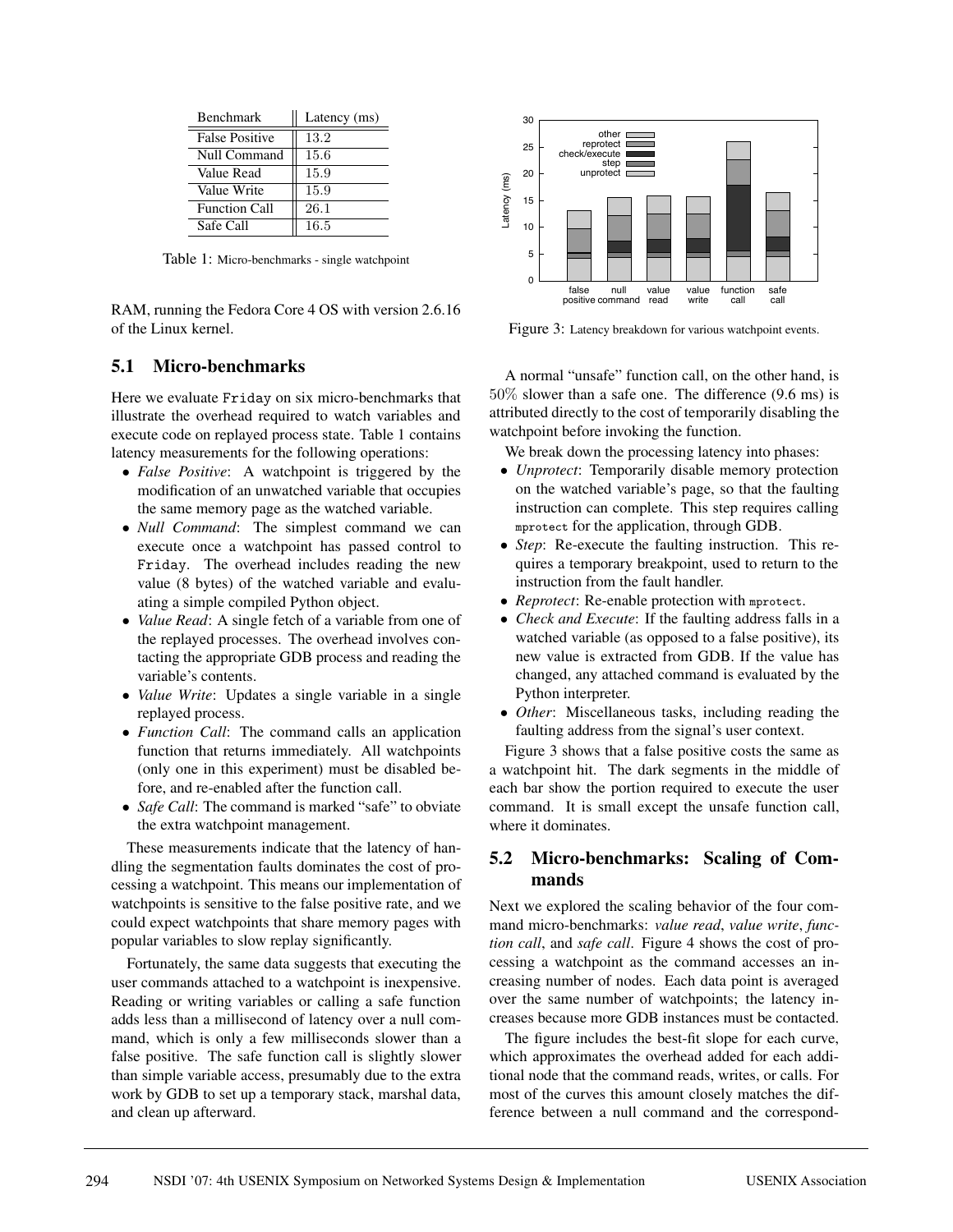| <b>Benchmark</b>      | Latency (ms) |
|-----------------------|--------------|
| <b>False Positive</b> | 13.2         |
| Null Command          | 15.6         |
| Value Read            | 15.9         |
| Value Write           | 15.9         |
| <b>Function Call</b>  | 26.1         |
| Safe Call             | 16.5         |

Table 1: Micro-benchmarks - single watchpoint

RAM, running the Fedora Core 4 OS with version 2.6.16 of the Linux kernel.

## **5.1 Micro-benchmarks**

Here we evaluate Friday on six micro-benchmarks that illustrate the overhead required to watch variables and execute code on replayed process state. Table 1 contains latency measurements for the following operations:

- *False Positive*: A watchpoint is triggered by the modification of an unwatched variable that occupies the same memory page as the watched variable.
- *Null Command*: The simplest command we can execute once a watchpoint has passed control to Friday. The overhead includes reading the new value (8 bytes) of the watched variable and evaluating a simple compiled Python object.
- *Value Read*: A single fetch of a variable from one of the replayed processes. The overhead involves contacting the appropriate GDB process and reading the variable's contents.
- *Value Write*: Updates a single variable in a single replayed process.
- *Function Call*: The command calls an application function that returns immediately. All watchpoints (only one in this experiment) must be disabled before, and re-enabled after the function call.
- *Safe Call:* The command is marked "safe" to obviate the extra watchpoint management.

These measurements indicate that the latency of handling the segmentation faults dominates the cost of processing a watchpoint. This means our implementation of watchpoints is sensitive to the false positive rate, and we could expect watchpoints that share memory pages with popular variables to slow replay significantly.

Fortunately, the same data suggests that executing the user commands attached to a watchpoint is inexpensive. Reading or writing variables or calling a safe function adds less than a millisecond of latency over a null command, which is only a few milliseconds slower than a false positive. The safe function call is slightly slower than simple variable access, presumably due to the extra work by GDB to set up a temporary stack, marshal data, and clean up afterward.



Figure 3: Latency breakdown for various watchpoint events.

A normal "unsafe" function call, on the other hand, is 50% slower than a safe one. The difference (9.6 ms) is attributed directly to the cost of temporarily disabling the watchpoint before invoking the function.

We break down the processing latency into phases:

- *Unprotect*: Temporarily disable memory protection on the watched variable's page, so that the faulting instruction can complete. This step requires calling mprotect for the application, through GDB.
- *Step*: Re-execute the faulting instruction. This requires a temporary breakpoint, used to return to the instruction from the fault handler.
- *Reprotect*: Re-enable protection with mprotect.
- *Check and Execute*: If the faulting address falls in a watched variable (as opposed to a false positive), its new value is extracted from GDB. If the value has changed, any attached command is evaluated by the Python interpreter.
- *Other*: Miscellaneous tasks, including reading the faulting address from the signal's user context.

Figure 3 shows that a false positive costs the same as a watchpoint hit. The dark segments in the middle of each bar show the portion required to execute the user command. It is small except the unsafe function call, where it dominates.

## **5.2 Micro-benchmarks: Scaling of Commands**

Next we explored the scaling behavior of the four command micro-benchmarks: *value read*, *value write*, *function call*, and *safe call*. Figure 4 shows the cost of processing a watchpoint as the command accesses an increasing number of nodes. Each data point is averaged over the same number of watchpoints; the latency increases because more GDB instances must be contacted.

The figure includes the best-fit slope for each curve, which approximates the overhead added for each additional node that the command reads, writes, or calls. For most of the curves this amount closely matches the difference between a null command and the correspond-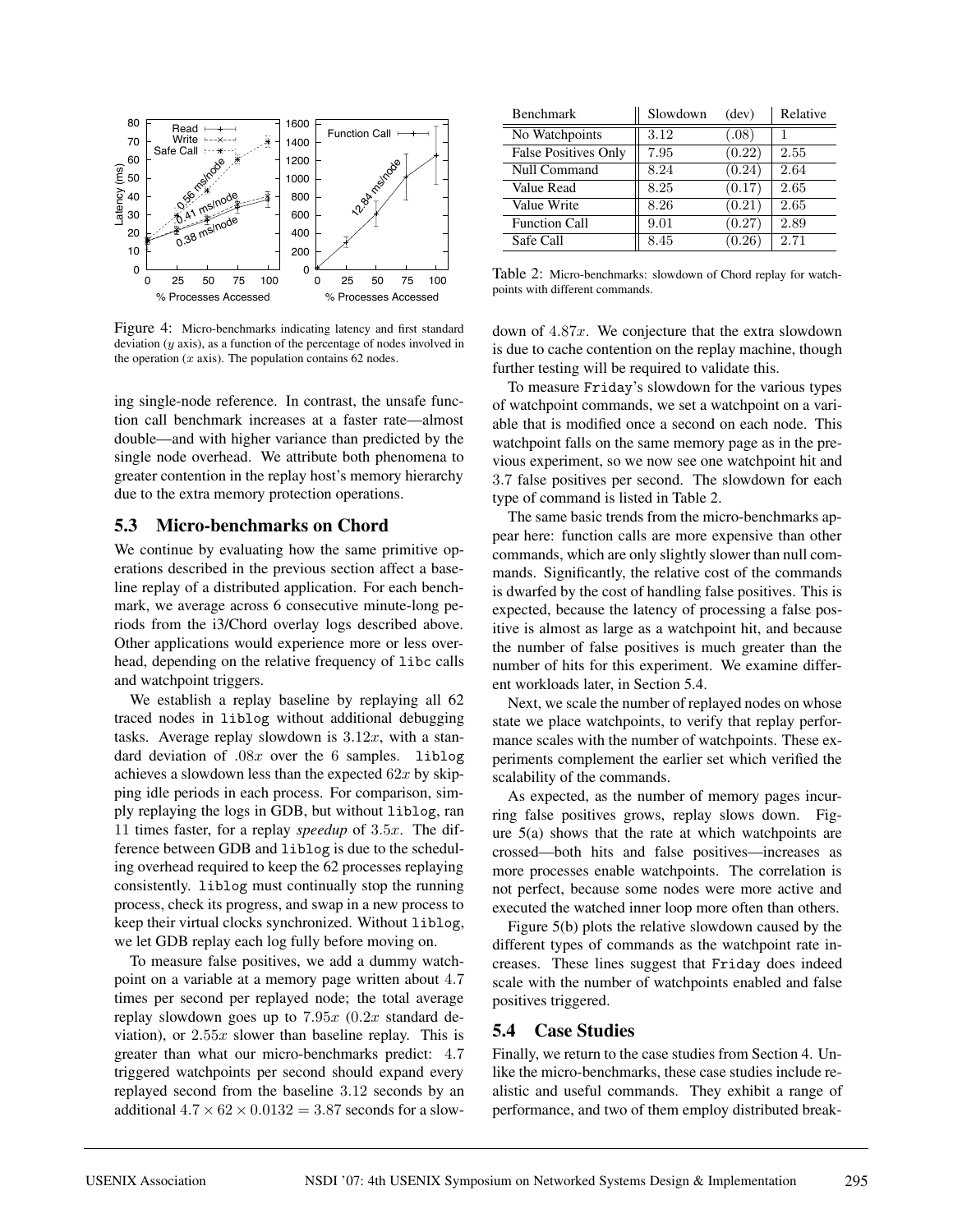

Figure 4: Micro-benchmarks indicating latency and first standard deviation  $(y \text{ axis})$ , as a function of the percentage of nodes involved in the operation  $(x \text{ axis})$ . The population contains 62 nodes.

ing single-node reference. In contrast, the unsafe function call benchmark increases at a faster rate—almost double—and with higher variance than predicted by the single node overhead. We attribute both phenomena to greater contention in the replay host's memory hierarchy due to the extra memory protection operations.

### **5.3 Micro-benchmarks on Chord**

We continue by evaluating how the same primitive operations described in the previous section affect a baseline replay of a distributed application. For each benchmark, we average across 6 consecutive minute-long periods from the i3/Chord overlay logs described above. Other applications would experience more or less overhead, depending on the relative frequency of libc calls and watchpoint triggers.

We establish a replay baseline by replaying all 62 traced nodes in liblog without additional debugging tasks. Average replay slowdown is  $3.12x$ , with a standard deviation of  $.08x$  over the 6 samples. liblog achieves a slowdown less than the expected  $62x$  by skipping idle periods in each process. For comparison, simply replaying the logs in GDB, but without liblog, ran 11 times faster, for a replay *speedup* of 3.5x. The difference between GDB and liblog is due to the scheduling overhead required to keep the 62 processes replaying consistently. liblog must continually stop the running process, check its progress, and swap in a new process to keep their virtual clocks synchronized. Without liblog, we let GDB replay each log fully before moving on.

To measure false positives, we add a dummy watchpoint on a variable at a memory page written about 4.7 times per second per replayed node; the total average replay slowdown goes up to  $7.95x$  (0.2x standard deviation), or  $2.55x$  slower than baseline replay. This is greater than what our micro-benchmarks predict: 4.7 triggered watchpoints per second should expand every replayed second from the baseline 3.12 seconds by an additional  $4.7 \times 62 \times 0.0132 = 3.87$  seconds for a slow-

| <b>Benchmark</b>            | Slowdown | (dev)  | Relative |
|-----------------------------|----------|--------|----------|
| No Watchpoints              | 3.12     | (.08)  |          |
| <b>False Positives Only</b> | 7.95     | (0.22) | 2.55     |
| <b>Null Command</b>         | 8.24     | (0.24) | 2.64     |
| Value Read                  | 8.25     | (0.17) | 2.65     |
| Value Write                 | 8.26     | (0.21) | 2.65     |
| <b>Function Call</b>        | 9.01     | (0.27) | 2.89     |
| Safe Call                   | 8.45     | (0.26) | 2.71     |

Table 2: Micro-benchmarks: slowdown of Chord replay for watchpoints with different commands.

down of  $4.87x$ . We conjecture that the extra slowdown is due to cache contention on the replay machine, though further testing will be required to validate this.

To measure Friday's slowdown for the various types of watchpoint commands, we set a watchpoint on a variable that is modified once a second on each node. This watchpoint falls on the same memory page as in the previous experiment, so we now see one watchpoint hit and 3.7 false positives per second. The slowdown for each type of command is listed in Table 2.

The same basic trends from the micro-benchmarks appear here: function calls are more expensive than other commands, which are only slightly slower than null commands. Significantly, the relative cost of the commands is dwarfed by the cost of handling false positives. This is expected, because the latency of processing a false positive is almost as large as a watchpoint hit, and because the number of false positives is much greater than the number of hits for this experiment. We examine different workloads later, in Section 5.4.

Next, we scale the number of replayed nodes on whose state we place watchpoints, to verify that replay performance scales with the number of watchpoints. These experiments complement the earlier set which verified the scalability of the commands.

As expected, as the number of memory pages incurring false positives grows, replay slows down. Figure 5(a) shows that the rate at which watchpoints are crossed—both hits and false positives—increases as more processes enable watchpoints. The correlation is not perfect, because some nodes were more active and executed the watched inner loop more often than others.

Figure 5(b) plots the relative slowdown caused by the different types of commands as the watchpoint rate increases. These lines suggest that Friday does indeed scale with the number of watchpoints enabled and false positives triggered.

### **5.4 Case Studies**

Finally, we return to the case studies from Section 4. Unlike the micro-benchmarks, these case studies include realistic and useful commands. They exhibit a range of performance, and two of them employ distributed break-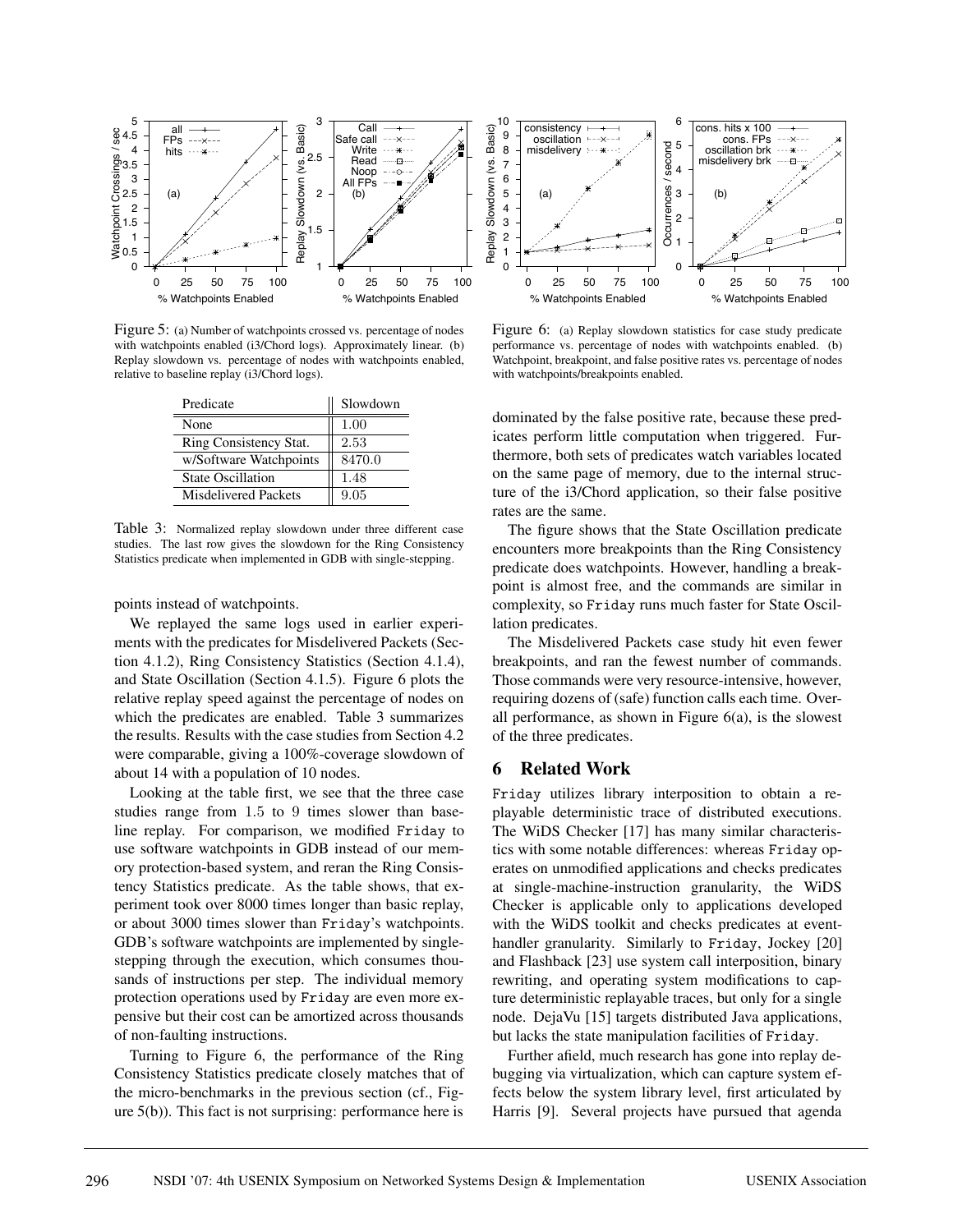

Figure 5: (a) Number of watchpoints crossed vs. percentage of nodes with watchpoints enabled (i3/Chord logs). Approximately linear. (b) Replay slowdown vs. percentage of nodes with watchpoints enabled, relative to baseline replay (i3/Chord logs).

| Predicate                | Slowdown |
|--------------------------|----------|
| None                     | 1.00     |
| Ring Consistency Stat.   | 2.53     |
| w/Software Watchpoints   | 8470.0   |
| <b>State Oscillation</b> | 1.48     |
| Misdelivered Packets     | 9.05     |

Table 3: Normalized replay slowdown under three different case studies. The last row gives the slowdown for the Ring Consistency Statistics predicate when implemented in GDB with single-stepping.

points instead of watchpoints.

We replayed the same logs used in earlier experiments with the predicates for Misdelivered Packets (Section 4.1.2), Ring Consistency Statistics (Section 4.1.4), and State Oscillation (Section 4.1.5). Figure 6 plots the relative replay speed against the percentage of nodes on which the predicates are enabled. Table 3 summarizes the results. Results with the case studies from Section 4.2 were comparable, giving a 100%-coverage slowdown of about 14 with a population of 10 nodes.

Looking at the table first, we see that the three case studies range from 1.5 to 9 times slower than baseline replay. For comparison, we modified Friday to use software watchpoints in GDB instead of our memory protection-based system, and reran the Ring Consistency Statistics predicate. As the table shows, that experiment took over 8000 times longer than basic replay, or about 3000 times slower than Friday's watchpoints. GDB's software watchpoints are implemented by singlestepping through the execution, which consumes thousands of instructions per step. The individual memory protection operations used by Friday are even more expensive but their cost can be amortized across thousands of non-faulting instructions.

Turning to Figure 6, the performance of the Ring Consistency Statistics predicate closely matches that of the micro-benchmarks in the previous section (cf., Figure 5(b)). This fact is not surprising: performance here is



Figure 6: (a) Replay slowdown statistics for case study predicate performance vs. percentage of nodes with watchpoints enabled. (b) Watchpoint, breakpoint, and false positive rates vs. percentage of nodes with watchpoints/breakpoints enabled.

dominated by the false positive rate, because these predicates perform little computation when triggered. Furthermore, both sets of predicates watch variables located on the same page of memory, due to the internal structure of the i3/Chord application, so their false positive rates are the same.

The figure shows that the State Oscillation predicate encounters more breakpoints than the Ring Consistency predicate does watchpoints. However, handling a breakpoint is almost free, and the commands are similar in complexity, so Friday runs much faster for State Oscillation predicates.

The Misdelivered Packets case study hit even fewer breakpoints, and ran the fewest number of commands. Those commands were very resource-intensive, however, requiring dozens of (safe) function calls each time. Overall performance, as shown in Figure  $6(a)$ , is the slowest of the three predicates.

## **6 Related Work**

Friday utilizes library interposition to obtain a replayable deterministic trace of distributed executions. The WiDS Checker [17] has many similar characteristics with some notable differences: whereas Friday operates on unmodified applications and checks predicates at single-machine-instruction granularity, the WiDS Checker is applicable only to applications developed with the WiDS toolkit and checks predicates at eventhandler granularity. Similarly to Friday, Jockey [20] and Flashback [23] use system call interposition, binary rewriting, and operating system modifications to capture deterministic replayable traces, but only for a single node. DejaVu [15] targets distributed Java applications, but lacks the state manipulation facilities of Friday.

Further afield, much research has gone into replay debugging via virtualization, which can capture system effects below the system library level, first articulated by Harris [9]. Several projects have pursued that agenda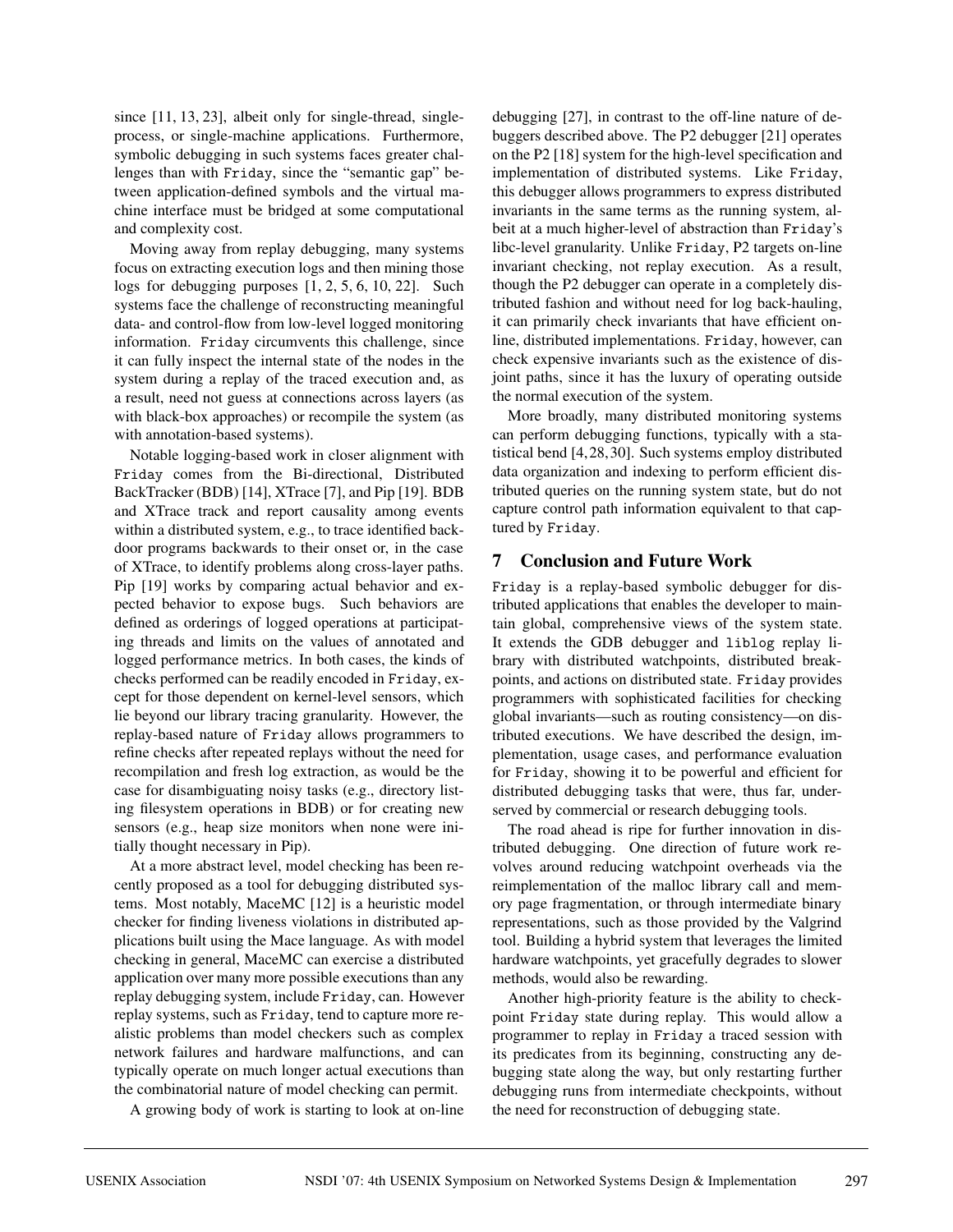since [11, 13, 23], albeit only for single-thread, singleprocess, or single-machine applications. Furthermore, symbolic debugging in such systems faces greater challenges than with Friday, since the "semantic gap" between application-defined symbols and the virtual machine interface must be bridged at some computational and complexity cost.

Moving away from replay debugging, many systems focus on extracting execution logs and then mining those logs for debugging purposes [1, 2, 5, 6, 10, 22]. Such systems face the challenge of reconstructing meaningful data- and control-flow from low-level logged monitoring information. Friday circumvents this challenge, since it can fully inspect the internal state of the nodes in the system during a replay of the traced execution and, as a result, need not guess at connections across layers (as with black-box approaches) or recompile the system (as with annotation-based systems).

Notable logging-based work in closer alignment with Friday comes from the Bi-directional, Distributed BackTracker (BDB) [14], XTrace [7], and Pip [19]. BDB and XTrace track and report causality among events within a distributed system, e.g., to trace identified backdoor programs backwards to their onset or, in the case of XTrace, to identify problems along cross-layer paths. Pip [19] works by comparing actual behavior and expected behavior to expose bugs. Such behaviors are defined as orderings of logged operations at participating threads and limits on the values of annotated and logged performance metrics. In both cases, the kinds of checks performed can be readily encoded in Friday, except for those dependent on kernel-level sensors, which lie beyond our library tracing granularity. However, the replay-based nature of Friday allows programmers to refine checks after repeated replays without the need for recompilation and fresh log extraction, as would be the case for disambiguating noisy tasks (e.g., directory listing filesystem operations in BDB) or for creating new sensors (e.g., heap size monitors when none were initially thought necessary in Pip).

At a more abstract level, model checking has been recently proposed as a tool for debugging distributed systems. Most notably, MaceMC [12] is a heuristic model checker for finding liveness violations in distributed applications built using the Mace language. As with model checking in general, MaceMC can exercise a distributed application over many more possible executions than any replay debugging system, include Friday, can. However replay systems, such as Friday, tend to capture more realistic problems than model checkers such as complex network failures and hardware malfunctions, and can typically operate on much longer actual executions than the combinatorial nature of model checking can permit.

A growing body of work is starting to look at on-line

debugging [27], in contrast to the off-line nature of debuggers described above. The P2 debugger [21] operates on the P2 [18] system for the high-level specification and implementation of distributed systems. Like Friday, this debugger allows programmers to express distributed invariants in the same terms as the running system, albeit at a much higher-level of abstraction than Friday's libc-level granularity. Unlike Friday, P2 targets on-line invariant checking, not replay execution. As a result, though the P2 debugger can operate in a completely distributed fashion and without need for log back-hauling, it can primarily check invariants that have efficient online, distributed implementations. Friday, however, can check expensive invariants such as the existence of disjoint paths, since it has the luxury of operating outside the normal execution of the system.

More broadly, many distributed monitoring systems can perform debugging functions, typically with a statistical bend [4,28,30]. Such systems employ distributed data organization and indexing to perform efficient distributed queries on the running system state, but do not capture control path information equivalent to that captured by Friday.

# **7 Conclusion and Future Work**

Friday is a replay-based symbolic debugger for distributed applications that enables the developer to maintain global, comprehensive views of the system state. It extends the GDB debugger and liblog replay library with distributed watchpoints, distributed breakpoints, and actions on distributed state. Friday provides programmers with sophisticated facilities for checking global invariants—such as routing consistency—on distributed executions. We have described the design, implementation, usage cases, and performance evaluation for Friday, showing it to be powerful and efficient for distributed debugging tasks that were, thus far, underserved by commercial or research debugging tools.

The road ahead is ripe for further innovation in distributed debugging. One direction of future work revolves around reducing watchpoint overheads via the reimplementation of the malloc library call and memory page fragmentation, or through intermediate binary representations, such as those provided by the Valgrind tool. Building a hybrid system that leverages the limited hardware watchpoints, yet gracefully degrades to slower methods, would also be rewarding.

Another high-priority feature is the ability to checkpoint Friday state during replay. This would allow a programmer to replay in Friday a traced session with its predicates from its beginning, constructing any debugging state along the way, but only restarting further debugging runs from intermediate checkpoints, without the need for reconstruction of debugging state.